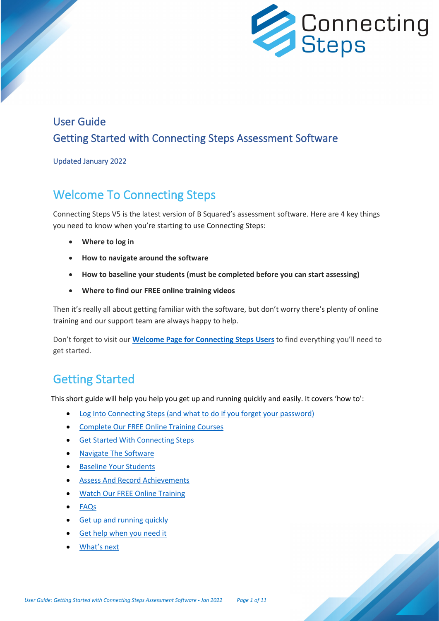

## User Guide Getting Started with Connecting Steps Assessment Software

#### Updated January 2022

## Welcome To Connecting Steps

Connecting Steps V5 is the latest version of B Squared's assessment software. Here are 4 key things you need to know when you're starting to use Connecting Steps:

- **Where to log in**
- **How to navigate around the software**
- **How to baseline your students (must be completed before you can start assessing)**
- **Where to find our FREE online training videos**

Then it's really all about getting familiar with the software, but don't worry there's plenty of online training and our support team are always happy to help.

Don't forget to visit our **Welcome [Page for Connecting Steps Users](https://support.bsquared.co.uk/welcome-connecting-steps-user?utm_source=CS-V5-Onboarding&utm_medium=Guides&utm_campaign=User-Guide)** to find everything you'll need to get started.

# Getting Started

This short guide will help you help you get up and running quickly and easily. It covers 'how to':

- Log Into Connecting Steps [\(and what to do if you forget your password\)](#page-0-0)
- [Complete Our FREE Online Training Courses](#page-1-0)
- [Get Started With Connecting Steps](#page-2-0)
- [Navigate The Software](#page-2-1)
- [Baseline Your Students](#page-3-0)
- [Assess And Record Achievements](#page-5-0)
- [Watch Our FREE Online Training](#page-7-0)
- [FAQs](#page-9-0)
- [Get up and running quickly](#page-10-0)
- [Get help when you need it](#page-10-1)
- <span id="page-0-0"></span>• [What's next](#page-10-2)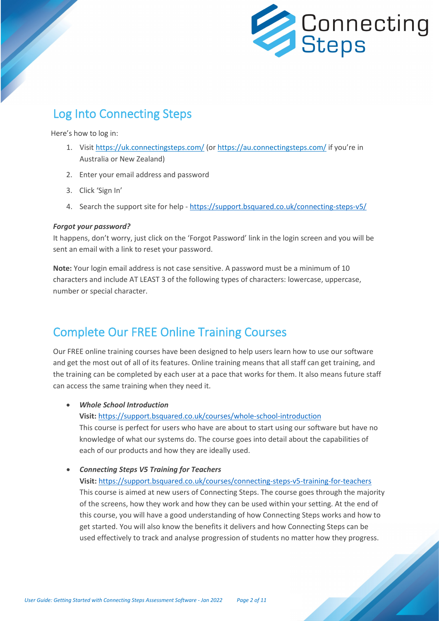

# Log Into Connecting Steps

Here's how to log in:

- 1. Visit<https://uk.connectingsteps.com/> (or<https://au.connectingsteps.com/> if you're in Australia or New Zealand)
- 2. Enter your email address and password
- 3. Click 'Sign In'
- 4. Search the support site for help <https://support.bsquared.co.uk/connecting-steps-v5/>

#### *Forgot your password?*

It happens, don't worry, just click on the 'Forgot Password' link in the login screen and you will be sent an email with a link to reset your password.

**Note:** Your login email address is not case sensitive. A password must be a minimum of 10 characters and include AT LEAST 3 of the following types of characters: lowercase, uppercase, number or special character.

## <span id="page-1-0"></span>Complete Our FREE Online Training Courses

Our FREE online training courses have been designed to help users learn how to use our software and get the most out of all of its features. Online training means that all staff can get training, and the training can be completed by each user at a pace that works for them. It also means future staff can access the same training when they need it.

• *Whole School Introduction*

**Visit:** [https://support.bsquared.co.uk/courses/whole-school-introduction](https://support.bsquared.co.uk/courses/whole-school-introduction?utm_source=V5-Onboarding&utm_medium=Guides&utm_campaign=User-Guide)

This course is perfect for users who have are about to start using our software but have no knowledge of what our systems do. The course goes into detail about the capabilities of each of our products and how they are ideally used.

• *Connecting Steps V5 Training for Teachers*

**Visit:** [https://support.bsquared.co.uk/courses/connecting-steps-v5-training-for-teachers](https://support.bsquared.co.uk/courses/connecting-steps-v5-training-for-teachers?utm_source=V5-Onboarding&utm_medium=Guides&utm_campaign=User-Guide) This course is aimed at new users of Connecting Steps. The course goes through the majority of the screens, how they work and how they can be used within your setting. At the end of this course, you will have a good understanding of how Connecting Steps works and how to get started. You will also know the benefits it delivers and how Connecting Steps can be used effectively to track and analyse progression of students no matter how they progress.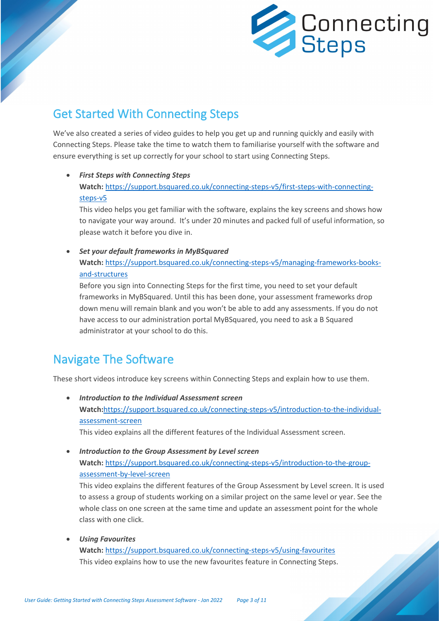

# <span id="page-2-0"></span>Get Started With Connecting Steps

We've also created a series of video guides to help you get up and running quickly and easily with Connecting Steps. Please take the time to watch them to familiarise yourself with the software and ensure everything is set up correctly for your school to start using Connecting Steps.

• *First Steps with Connecting Steps* **Watch:** [https://support.bsquared.co.uk/connecting-steps-v5/first-steps-with-connecting](https://support.bsquared.co.uk/connecting-steps-v5/first-steps-with-connecting-steps-v5?utm_source=V5-Onboarding&utm_medium=Guides&utm_campaign=User-Guide)[steps-v5](https://support.bsquared.co.uk/connecting-steps-v5/first-steps-with-connecting-steps-v5?utm_source=V5-Onboarding&utm_medium=Guides&utm_campaign=User-Guide)

This video helps you get familiar with the software, explains the key screens and shows how to navigate your way around. It's under 20 minutes and packed full of useful information, so please watch it before you dive in.

• *Set your default frameworks in MyBSquared* **Watch:** [https://support.bsquared.co.uk/connecting-steps-v5/managing-frameworks-books](https://support.bsquared.co.uk/connecting-steps-v5/managing-frameworks-books-and-structures?utm_source=V5-Onboarding&utm_medium=Guides&utm_campaign=User-Guide)[and-structures](https://support.bsquared.co.uk/connecting-steps-v5/managing-frameworks-books-and-structures?utm_source=V5-Onboarding&utm_medium=Guides&utm_campaign=User-Guide)

<span id="page-2-1"></span>Before you sign into Connecting Steps for the first time, you need to set your default frameworks in MyBSquared. Until this has been done, your assessment frameworks drop down menu will remain blank and you won't be able to add any assessments. If you do not have access to our administration portal MyBSquared, you need to ask a B Squared administrator at your school to do this.

# Navigate The Software

These short videos introduce key screens within Connecting Steps and explain how to use them.

• *Introduction to the Individual Assessment screen* **Watch:**[https://support.bsquared.co.uk/connecting-steps-v5/introduction-to-the-individual](https://support.bsquared.co.uk/connecting-steps-v5/introduction-to-the-individual-assessment-screen?utm_source=V5-Onboarding&utm_medium=Guides&utm_campaign=User-Guide)[assessment-screen](https://support.bsquared.co.uk/connecting-steps-v5/introduction-to-the-individual-assessment-screen?utm_source=V5-Onboarding&utm_medium=Guides&utm_campaign=User-Guide) This video explains all the different features of the Individual Assessment screen.

• *Introduction to the Group Assessment by Level screen* **Watch:** [https://support.bsquared.co.uk/connecting-steps-v5/introduction-to-the-group](https://support.bsquared.co.uk/connecting-steps-v5/introduction-to-the-group-assessment-by-level-screen?utm_source=V5-Onboarding&utm_medium=Guides&utm_campaign=User-Guide)[assessment-by-level-screen](https://support.bsquared.co.uk/connecting-steps-v5/introduction-to-the-group-assessment-by-level-screen?utm_source=V5-Onboarding&utm_medium=Guides&utm_campaign=User-Guide)

This video explains the different features of the Group Assessment by Level screen. It is used to assess a group of students working on a similar project on the same level or year. See the whole class on one screen at the same time and update an assessment point for the whole class with one click.

• *Using Favourites*

**Watch:** [https://support.bsquared.co.uk/connecting-steps-v5/using-favourites](https://support.bsquared.co.uk/connecting-steps-v5/using-favourites?utm_source=V5-Onboarding&utm_medium=Guides&utm_campaign=User-Guide) This video explains how to use the new favourites feature in Connecting Steps.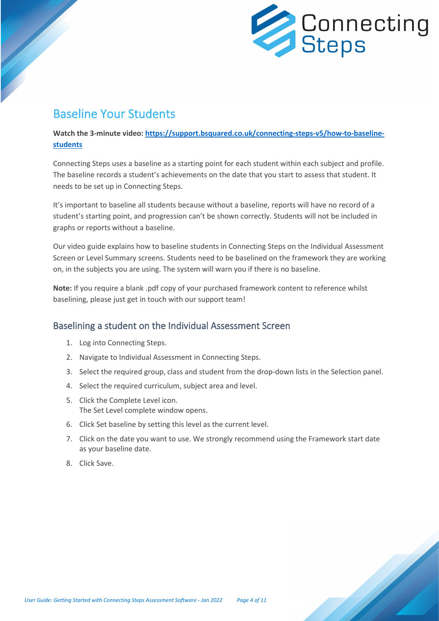

## <span id="page-3-0"></span>Baseline Your Students

**Watch the 3-minute video: [https://support.bsquared.co.uk/connecting-steps-v5/how-to-baseline](https://support.bsquared.co.uk/connecting-steps-v5/how-to-baseline-students?utm_source=V5-Onboarding&utm_medium=Guides&utm_campaign=User-Guide)[students](https://support.bsquared.co.uk/connecting-steps-v5/how-to-baseline-students?utm_source=V5-Onboarding&utm_medium=Guides&utm_campaign=User-Guide)**

Connecting Steps uses a baseline as a starting point for each student within each subject and profile. The baseline records a student's achievements on the date that you start to assess that student. It needs to be set up in Connecting Steps.

It's important to baseline all students because without a baseline, reports will have no record of a student's starting point, and progression can't be shown correctly. Students will not be included in graphs or reports without a baseline.

Our video guide explains how to baseline students in Connecting Steps on the Individual Assessment Screen or Level Summary screens. Students need to be baselined on the framework they are working on, in the subjects you are using. The system will warn you if there is no baseline.

**Note:** If you require a blank .pdf copy of your purchased framework content to reference whilst baselining, please just get in touch with our support team!

### Baselining a student on the Individual Assessment Screen

- 1. Log into Connecting Steps.
- 2. Navigate to Individual Assessment in Connecting Steps.
- 3. Select the required group, class and student from the drop-down lists in the Selection panel.
- 4. Select the required curriculum, subject area and level.
- 5. Click the Complete Level icon. The Set Level complete window opens.
- 6. Click Set baseline by setting this level as the current level.
- 7. Click on the date you want to use. We strongly recommend using the Framework start date as your baseline date.
- 8. Click Save.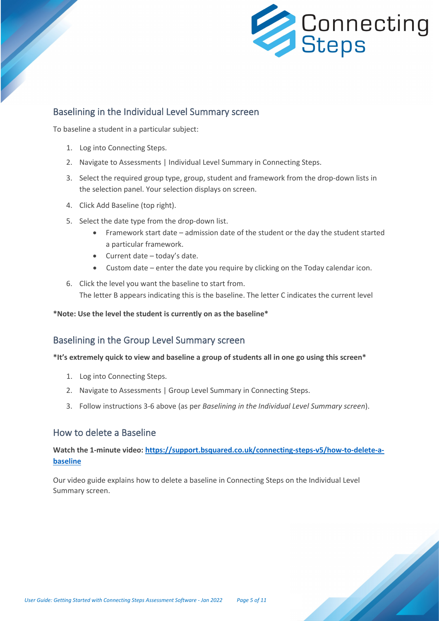

### Baselining in the Individual Level Summary screen

To baseline a student in a particular subject:

- 1. Log into Connecting Steps.
- 2. Navigate to Assessments | Individual Level Summary in Connecting Steps.
- 3. Select the required group type, group, student and framework from the drop-down lists in the selection panel. Your selection displays on screen.
- 4. Click Add Baseline (top right).
- 5. Select the date type from the drop-down list.
	- Framework start date admission date of the student or the day the student started a particular framework.
	- Current date today's date.
	- Custom date enter the date you require by clicking on the Today calendar icon.
- 6. Click the level you want the baseline to start from. The letter B appears indicating this is the baseline. The letter C indicates the current level

**\*Note: Use the level the student is currently on as the baseline\***

### Baselining in the Group Level Summary screen

#### **\*It's extremely quick to view and baseline a group of students all in one go using this screen\***

- 1. Log into Connecting Steps.
- 2. Navigate to Assessments | Group Level Summary in Connecting Steps.
- 3. Follow instructions 3-6 above (as per *Baselining in the Individual Level Summary screen*).

### How to delete a Baseline

### **Watch the 1-minute video: [https://support.bsquared.co.uk/connecting-steps-v5/how-to-delete-a](https://support.bsquared.co.uk/connecting-steps-v5/how-to-delete-a-baseline?utm_source=V5-Onboarding&utm_medium=Guides&utm_campaign=User-Guide)[baseline](https://support.bsquared.co.uk/connecting-steps-v5/how-to-delete-a-baseline?utm_source=V5-Onboarding&utm_medium=Guides&utm_campaign=User-Guide)**

Our video guide explains how to delete a baseline in Connecting Steps on the Individual Level Summary screen.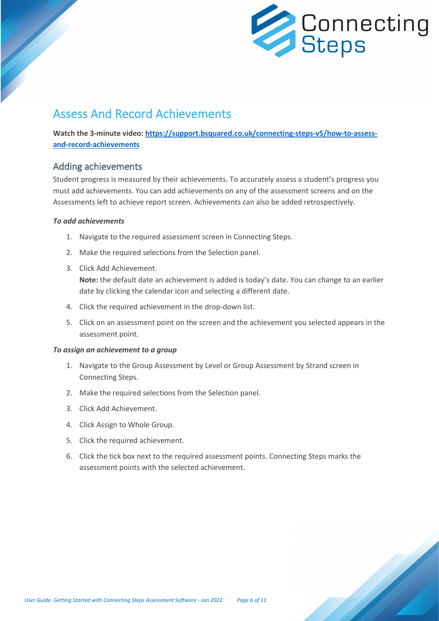

## <span id="page-5-0"></span>Assess And Record Achievements

**Watch the 3-minute video: [https://support.bsquared.co.uk/connecting-steps-v5/how-to-assess](https://support.bsquared.co.uk/connecting-steps-v5/how-to-assess-and-record-achievements?utm_source=V5-Onboarding&utm_medium=Guides&utm_campaign=User-Guide)[and-record-achievements](https://support.bsquared.co.uk/connecting-steps-v5/how-to-assess-and-record-achievements?utm_source=V5-Onboarding&utm_medium=Guides&utm_campaign=User-Guide)**

### Adding achievements

Student progress is measured by their achievements. To accurately assess a student's progress you must add achievements. You can add achievements on any of the assessment screens and on the Assessments left to achieve report screen. Achievements can also be added retrospectively.

#### *To add achievements*

- 1. Navigate to the required assessment screen in Connecting Steps.
- 2. Make the required selections from the Selection panel.
- 3. Click Add Achievement.

**Note:** the default date an achievement is added is today's date. You can change to an earlier date by clicking the calendar icon and selecting a different date.

- 4. Click the required achievement in the drop-down list.
- 5. Click on an assessment point on the screen and the achievement you selected appears in the assessment point.

#### *To assign an achievement to a group*

- 1. Navigate to the Group Assessment by Level or Group Assessment by Strand screen in Connecting Steps.
- 2. Make the required selections from the Selection panel.
- 3. Click Add Achievement.
- 4. Click Assign to Whole Group.
- 5. Click the required achievement.
- 6. Click the tick box next to the required assessment points. Connecting Steps marks the assessment points with the selected achievement.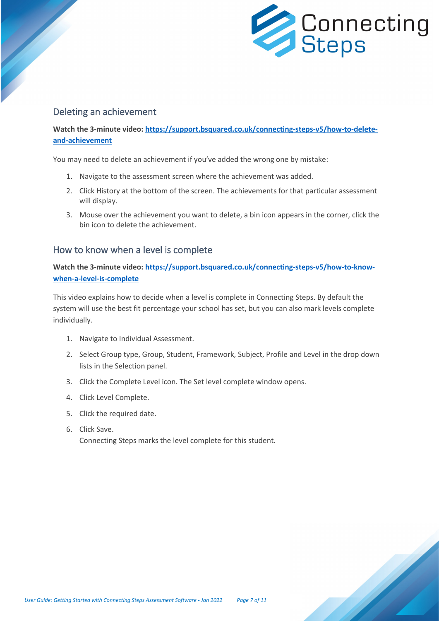

### Deleting an achievement

**Watch the 3-minute video: [https://support.bsquared.co.uk/connecting-steps-v5/how-to-delete](https://support.bsquared.co.uk/connecting-steps-v5/how-to-delete-and-achievement?utm_source=V5-Onboarding&utm_medium=Guides&utm_campaign=User-Guide)[and-achievement](https://support.bsquared.co.uk/connecting-steps-v5/how-to-delete-and-achievement?utm_source=V5-Onboarding&utm_medium=Guides&utm_campaign=User-Guide)**

You may need to delete an achievement if you've added the wrong one by mistake:

- 1. Navigate to the assessment screen where the achievement was added.
- 2. Click History at the bottom of the screen. The achievements for that particular assessment will display.
- 3. Mouse over the achievement you want to delete, a bin icon appears in the corner, click the bin icon to delete the achievement.

### How to know when a level is complete

**Watch the 3-minute video: [https://support.bsquared.co.uk/connecting-steps-v5/how-to-know](https://support.bsquared.co.uk/connecting-steps-v5/how-to-know-when-a-level-is-complete?utm_source=V5-Onboarding&utm_medium=Guides&utm_campaign=User-Guide)[when-a-level-is-complete](https://support.bsquared.co.uk/connecting-steps-v5/how-to-know-when-a-level-is-complete?utm_source=V5-Onboarding&utm_medium=Guides&utm_campaign=User-Guide)**

This video explains how to decide when a level is complete in Connecting Steps. By default the system will use the best fit percentage your school has set, but you can also mark levels complete individually.

- 1. Navigate to Individual Assessment.
- 2. Select Group type, Group, Student, Framework, Subject, Profile and Level in the drop down lists in the Selection panel.
- 3. Click the Complete Level icon. The Set level complete window opens.
- 4. Click Level Complete.
- 5. Click the required date.
- 6. Click Save.

Connecting Steps marks the level complete for this student.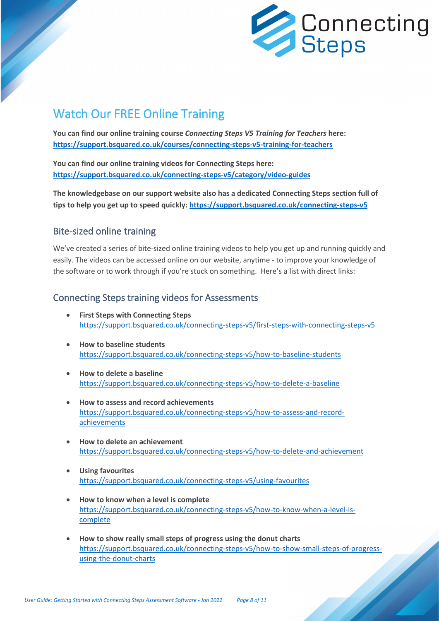

# <span id="page-7-0"></span>Watch Our FREE Online Training

**You can find our online training course** *Connecting Steps V5 Training for Teachers* **here: [https://support.bsquared.co.uk/courses/connecting-steps-v5-training-for-teachers](https://support.bsquared.co.uk/courses/connecting-steps-v5-training-for-teachers?utm_source=V5-Onboarding&utm_medium=Guides&utm_campaign=User-Guide)**

**You can find our online training videos for Connecting Steps here: [https://support.bsquared.co.uk/connecting-steps-v5/category/video-guides](https://support.bsquared.co.uk/connecting-steps-v5/category/video-guides?utm_source=V5-Onboarding&utm_medium=Guides&utm_campaign=User-Guide)**

**The knowledgebase on our support website also has a dedicated Connecting Steps section full of tips to help you get up to speed quickly: [https://support.bsquared.co.uk/connecting-steps-v5](https://support.bsquared.co.uk/connecting-steps-v5?utm_source=V5-Onboarding&utm_medium=Guides&utm_campaign=User-Guide)**

## Bite-sized online training

We've created a series of bite-sized online training videos to help you get up and running quickly and easily. The videos can be accessed online on our website, anytime - to improve your knowledge of the software or to work through if you're stuck on something. Here's a list with direct links:

### Connecting Steps training videos for Assessments

- **First Steps with Connecting Steps** [https://support.bsquared.co.uk/connecting-steps-v5/first-steps-with-connecting-steps-v5](https://support.bsquared.co.uk/connecting-steps-v5/first-steps-with-connecting-steps-v5?utm_source=V5-Onboarding&utm_medium=Guides&utm_campaign=User-Guide)
- **How to baseline students** [https://support.bsquared.co.uk/connecting-steps-v5/how-to-baseline-students](https://support.bsquared.co.uk/connecting-steps-v5/how-to-baseline-students?utm_source=V5-Onboarding&utm_medium=Guides&utm_campaign=User-Guide)
- **How to delete a baseline** [https://support.bsquared.co.uk/connecting-steps-v5/how-to-delete-a-baseline](https://support.bsquared.co.uk/connecting-steps-v5/how-to-delete-a-baseline?utm_source=V5-Onboarding&utm_medium=Guides&utm_campaign=User-Guide)
- **How to assess and record achievements** [https://support.bsquared.co.uk/connecting-steps-v5/how-to-assess-and-record](https://support.bsquared.co.uk/connecting-steps-v5/how-to-assess-and-record-achievements?utm_source=V5-Onboarding&utm_medium=Guides&utm_campaign=User-Guide)[achievements](https://support.bsquared.co.uk/connecting-steps-v5/how-to-assess-and-record-achievements?utm_source=V5-Onboarding&utm_medium=Guides&utm_campaign=User-Guide)
- **How to delete an achievement** [https://support.bsquared.co.uk/connecting-steps-v5/how-to-delete-and-achievement](https://support.bsquared.co.uk/connecting-steps-v5/how-to-delete-and-achievement?utm_source=V5-Onboarding&utm_medium=Guides&utm_campaign=User-Guide)
- **Using favourites** [https://support.bsquared.co.uk/connecting-steps-v5/using-favourites](https://support.bsquared.co.uk/connecting-steps-v5/using-favourites?utm_source=V5-Onboarding&utm_medium=Guides&utm_campaign=User-Guide)
- **How to know when a level is complete** [https://support.bsquared.co.uk/connecting-steps-v5/how-to-know-when-a-level-is](https://support.bsquared.co.uk/connecting-steps-v5/how-to-know-when-a-level-is-complete?utm_source=V5-Onboarding&utm_medium=Guides&utm_campaign=User-Guide)[complete](https://support.bsquared.co.uk/connecting-steps-v5/how-to-know-when-a-level-is-complete?utm_source=V5-Onboarding&utm_medium=Guides&utm_campaign=User-Guide)
- **How to show really small steps of progress using the donut charts** [https://support.bsquared.co.uk/connecting-steps-v5/how-to-show-small-steps-of-progress](https://support.bsquared.co.uk/connecting-steps-v5/how-to-show-small-steps-of-progress-using-the-donut-charts?utm_source=V5-Onboarding&utm_medium=Guides&utm_campaign=User-Guide)[using-the-donut-charts](https://support.bsquared.co.uk/connecting-steps-v5/how-to-show-small-steps-of-progress-using-the-donut-charts?utm_source=V5-Onboarding&utm_medium=Guides&utm_campaign=User-Guide)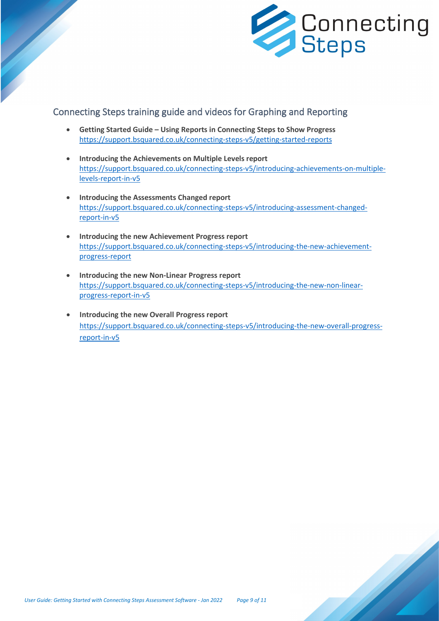

### Connecting Steps training guide and videos for Graphing and Reporting

- **Getting Started Guide – Using Reports in Connecting Steps to Show Progress** [https://support.bsquared.co.uk/connecting-steps-v5/getting-started-reports](https://support.bsquared.co.uk/connecting-steps-v5/getting-started-reports?utm_source=V5-Onboarding&utm_medium=Guides&utm_campaign=User-Guide)
- **Introducing the Achievements on Multiple Levels report** [https://support.bsquared.co.uk/connecting-steps-v5/introducing-achievements-on-multiple](https://support.bsquared.co.uk/connecting-steps-v5/introducing-achievements-on-multiple-levels-report-in-v5?utm_source=V5-Onboarding&utm_medium=Guides&utm_campaign=User-Guide)[levels-report-in-v5](https://support.bsquared.co.uk/connecting-steps-v5/introducing-achievements-on-multiple-levels-report-in-v5?utm_source=V5-Onboarding&utm_medium=Guides&utm_campaign=User-Guide)
- **Introducing the Assessments Changed report** [https://support.bsquared.co.uk/connecting-steps-v5/introducing-assessment-changed](https://support.bsquared.co.uk/connecting-steps-v5/introducing-assessment-changed-report-in-v5/?utm_source=V5-Onboarding&utm_medium=Guides&utm_campaign=User-Guide)[report-in-v5](https://support.bsquared.co.uk/connecting-steps-v5/introducing-assessment-changed-report-in-v5/?utm_source=V5-Onboarding&utm_medium=Guides&utm_campaign=User-Guide)
- **Introducing the new Achievement Progress report** [https://support.bsquared.co.uk/connecting-steps-v5/introducing-the-new-achievement](https://support.bsquared.co.uk/connecting-steps-v5/introducing-the-new-achievement-progress-report?utm_source=V5-Onboarding&utm_medium=Guides&utm_campaign=User-Guide)[progress-report](https://support.bsquared.co.uk/connecting-steps-v5/introducing-the-new-achievement-progress-report?utm_source=V5-Onboarding&utm_medium=Guides&utm_campaign=User-Guide)
- **Introducing the new Non-Linear Progress report** [https://support.bsquared.co.uk/connecting-steps-v5/introducing-the-new-non-linear](https://support.bsquared.co.uk/connecting-steps-v5/introducing-the-new-non-linear-progress-report-in-v5?utm_source=V5-Onboarding&utm_medium=Guides&utm_campaign=User-Guide)[progress-report-in-v5](https://support.bsquared.co.uk/connecting-steps-v5/introducing-the-new-non-linear-progress-report-in-v5?utm_source=V5-Onboarding&utm_medium=Guides&utm_campaign=User-Guide)
- **Introducing the new Overall Progress report** [https://support.bsquared.co.uk/connecting-steps-v5/introducing-the-new-overall-progress](https://support.bsquared.co.uk/connecting-steps-v5/introducing-the-new-overall-progress-report-in-v5?utm_source=V5-Onboarding&utm_medium=Guides&utm_campaign=User-Guide)[report-in-v5](https://support.bsquared.co.uk/connecting-steps-v5/introducing-the-new-overall-progress-report-in-v5?utm_source=V5-Onboarding&utm_medium=Guides&utm_campaign=User-Guide)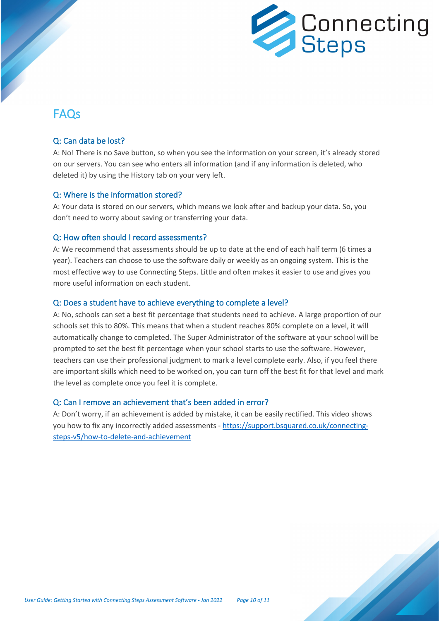

## <span id="page-9-0"></span>FAQs

#### Q: Can data be lost?

A: No! There is no Save button, so when you see the information on your screen, it's already stored on our servers. You can see who enters all information (and if any information is deleted, who deleted it) by using the History tab on your very left.

#### Q: Where is the information stored?

A: Your data is stored on our servers, which means we look after and backup your data. So, you don't need to worry about saving or transferring your data.

#### Q: How often should I record assessments?

A: We recommend that assessments should be up to date at the end of each half term (6 times a year). Teachers can choose to use the software daily or weekly as an ongoing system. This is the most effective way to use Connecting Steps. Little and often makes it easier to use and gives you more useful information on each student.

#### Q: Does a student have to achieve everything to complete a level?

A: No, schools can set a best fit percentage that students need to achieve. A large proportion of our schools set this to 80%. This means that when a student reaches 80% complete on a level, it will automatically change to completed. The Super Administrator of the software at your school will be prompted to set the best fit percentage when your school starts to use the software. However, teachers can use their professional judgment to mark a level complete early. Also, if you feel there are important skills which need to be worked on, you can turn off the best fit for that level and mark the level as complete once you feel it is complete.

#### Q: Can I remove an achievement that's been added in error?

A: Don't worry, if an achievement is added by mistake, it can be easily rectified. This video shows you how to fix any incorrectly added assessments - [https://support.bsquared.co.uk/connecting](https://support.bsquared.co.uk/connecting-steps-v5/how-to-delete-and-achievement?utm_source=V5-Onboarding&utm_medium=Guides&utm_campaign=User-Guide)[steps-v5/how-to-delete-and-achievement](https://support.bsquared.co.uk/connecting-steps-v5/how-to-delete-and-achievement?utm_source=V5-Onboarding&utm_medium=Guides&utm_campaign=User-Guide)